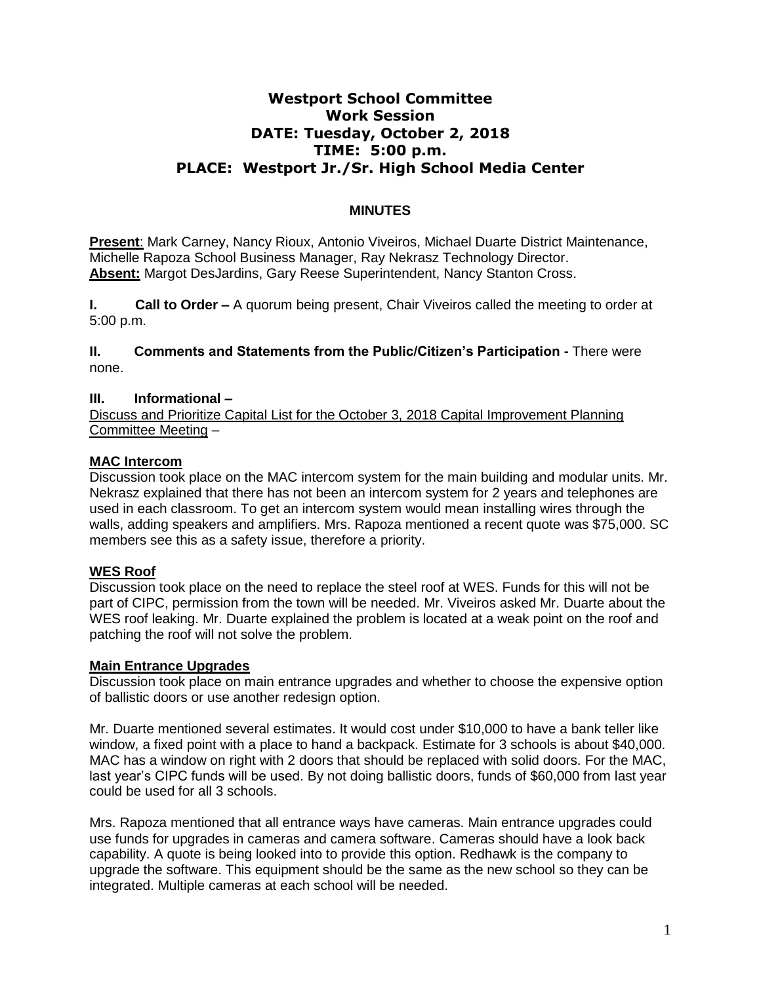# **Westport School Committee Work Session DATE: Tuesday, October 2, 2018 TIME: 5:00 p.m. PLACE: Westport Jr./Sr. High School Media Center**

## **MINUTES**

**Present**: Mark Carney, Nancy Rioux, Antonio Viveiros, Michael Duarte District Maintenance, Michelle Rapoza School Business Manager, Ray Nekrasz Technology Director. **Absent:** Margot DesJardins, Gary Reese Superintendent, Nancy Stanton Cross.

**I. Call to Order –** A quorum being present, Chair Viveiros called the meeting to order at 5:00 p.m.

**II. Comments and Statements from the Public/Citizen's Participation -** There were none.

## **III. Informational –**

Discuss and Prioritize Capital List for the October 3, 2018 Capital Improvement Planning Committee Meeting –

## **MAC Intercom**

Discussion took place on the MAC intercom system for the main building and modular units. Mr. Nekrasz explained that there has not been an intercom system for 2 years and telephones are used in each classroom. To get an intercom system would mean installing wires through the walls, adding speakers and amplifiers. Mrs. Rapoza mentioned a recent quote was \$75,000. SC members see this as a safety issue, therefore a priority.

## **WES Roof**

Discussion took place on the need to replace the steel roof at WES. Funds for this will not be part of CIPC, permission from the town will be needed. Mr. Viveiros asked Mr. Duarte about the WES roof leaking. Mr. Duarte explained the problem is located at a weak point on the roof and patching the roof will not solve the problem.

## **Main Entrance Upgrades**

Discussion took place on main entrance upgrades and whether to choose the expensive option of ballistic doors or use another redesign option.

Mr. Duarte mentioned several estimates. It would cost under \$10,000 to have a bank teller like window, a fixed point with a place to hand a backpack. Estimate for 3 schools is about \$40,000. MAC has a window on right with 2 doors that should be replaced with solid doors. For the MAC, last year's CIPC funds will be used. By not doing ballistic doors, funds of \$60,000 from last year could be used for all 3 schools.

Mrs. Rapoza mentioned that all entrance ways have cameras. Main entrance upgrades could use funds for upgrades in cameras and camera software. Cameras should have a look back capability. A quote is being looked into to provide this option. Redhawk is the company to upgrade the software. This equipment should be the same as the new school so they can be integrated. Multiple cameras at each school will be needed.